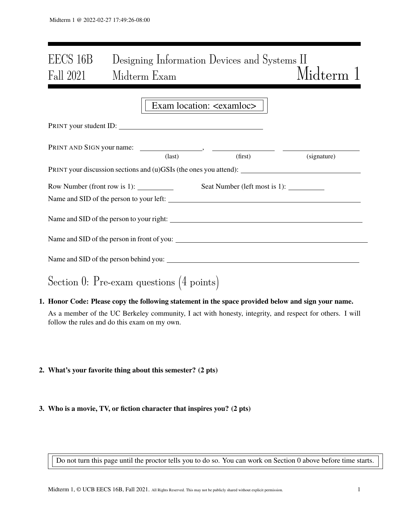# EECS 16B Designing Information Devices and Systems II Fall 2021 Midterm Exam Midterm 1

|                                                                   | Exam location: <exam loc=""></exam> |         |             |
|-------------------------------------------------------------------|-------------------------------------|---------|-------------|
| PRINT your student ID:                                            |                                     |         |             |
|                                                                   |                                     |         |             |
|                                                                   | $\text{(last)}$                     | (first) | (signature) |
| PRINT your discussion sections and (u)GSIs (the ones you attend): |                                     |         |             |
|                                                                   |                                     |         |             |
|                                                                   |                                     |         |             |
| Name and SID of the person to your left:                          |                                     |         |             |
|                                                                   |                                     |         |             |
| Name and SID of the person to your right:                         |                                     |         |             |
|                                                                   |                                     |         |             |
|                                                                   |                                     |         |             |
|                                                                   |                                     |         |             |
|                                                                   |                                     |         |             |
|                                                                   |                                     |         |             |
|                                                                   |                                     |         |             |
| Section 0: Pre-exam questions $(4 \text{ points})$                |                                     |         |             |

- 1. Honor Code: Please copy the following statement in the space provided below and sign your name. As a member of the UC Berkeley community, I act with honesty, integrity, and respect for others. I will follow the rules and do this exam on my own.
- 2. What's your favorite thing about this semester? (2 pts)
- 3. Who is a movie, TV, or fiction character that inspires you? (2 pts)

Do not turn this page until the proctor tells you to do so. You can work on Section 0 above before time starts.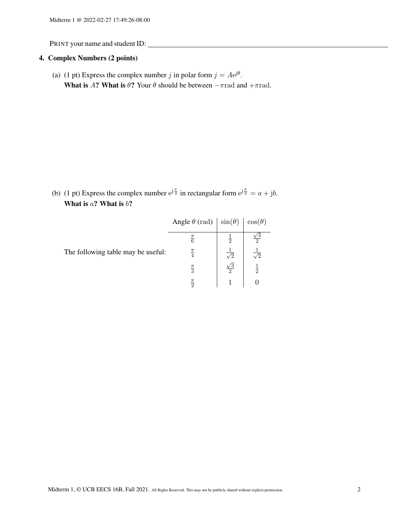# 4. Complex Numbers (2 points)

(a) (1 pt) Express the complex number j in polar form  $j = Ae^{j\theta}$ . What is A? What is  $\theta$ ? Your  $\theta$  should be between  $-\pi$ rad and  $+\pi$ rad.

(b) (1 pt) Express the complex number  $e^{j\frac{\pi}{3}}$  in rectangular form  $e^{j\frac{\pi}{3}} = a + jb$ . What is  $a$ ? What is  $b$ ?

|                                    | Angle $\theta$ (rad) | $\sin(\theta)$        | $\cos(\theta)$ |  |
|------------------------------------|----------------------|-----------------------|----------------|--|
|                                    | $\frac{\pi}{6}$      | 흓                     |                |  |
| The following table may be useful: | $\frac{\pi}{4}$      | $\overline{\sqrt{2}}$ | $\sqrt{2}$     |  |
|                                    | $\frac{\pi}{3}$      | $\frac{\sqrt{3}}{2}$  | $\frac{1}{2}$  |  |
|                                    | $\frac{\pi}{2}$      |                       |                |  |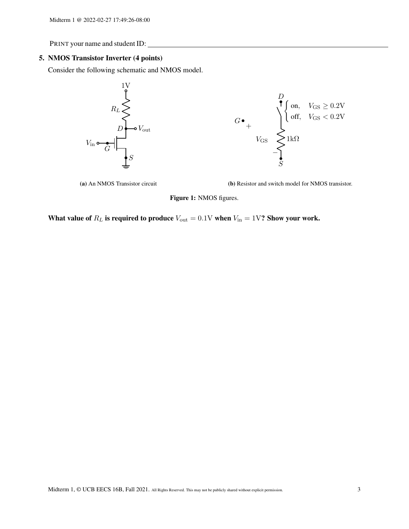#### 5. NMOS Transistor Inverter (4 points)

Consider the following schematic and NMOS model.



(a) An NMOS Transistor circuit

(b) Resistor and switch model for NMOS transistor.

Figure 1: NMOS figures.

What value of  $R_L$  is required to produce  $V_{\text{out}} = 0.1$ V when  $V_{\text{in}} = 1$ V? Show your work.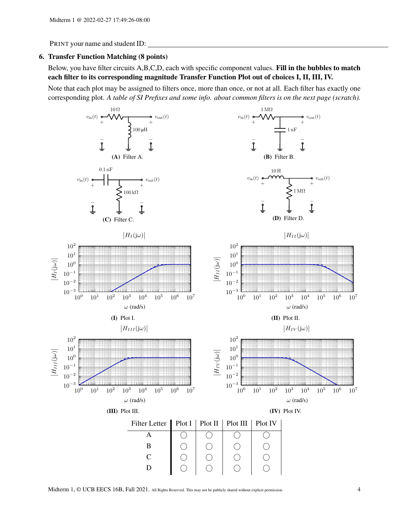#### 6. Transfer Function Matching (8 points)

Below, you have filter circuits A,B,C,D, each with specific component values. Fill in the bubbles to match each filter to its corresponding magnitude Transfer Function Plot out of choices I, II, III, IV.

Note that each plot may be assigned to filters once, more than once, or not at all. Each filter has exactly one corresponding plot. *A table of SI Prefixes and some info. about common filters is on the next page (scratch).*



Midterm 1, © UCB EECS 16B, Fall 2021. All Rights Reserved. This may not be publicly shared without explicit permission. 4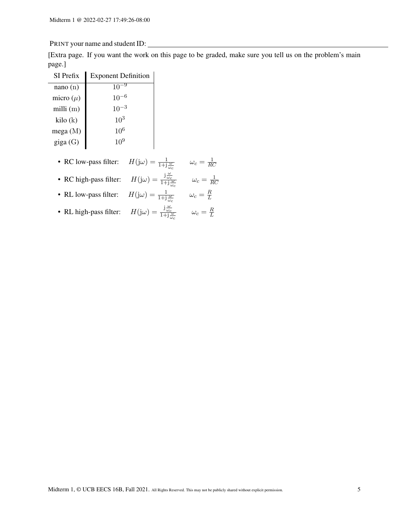[Extra page. If you want the work on this page to be graded, make sure you tell us on the problem's main page.]

| SI Prefix     | <b>Exponent Definition</b> |
|---------------|----------------------------|
| nano(n)       | 10                         |
| micro $(\mu)$ | $10^{-6}$                  |
| milli $(m)$   | $10^{-3}$                  |
| kilo (k)      | $10^{3}$                   |
| mega $(M)$    | $10^{6}$                   |
| giga (G)      | $10^{9}$                   |
|               |                            |

- RC low-pass filter:  $H(j\omega) = \frac{1}{1+j\frac{\omega}{\omega_c}}$   $\omega_c = \frac{1}{Rc}$ RC
- RC high-pass filter:  $H(j\omega) = \frac{j\frac{\omega}{\omega_c}}{1+j\frac{\omega}{\omega_c}}$   $\omega_c = \frac{1}{RQ}$ RC
- RL low-pass filter:  $H(j\omega) = \frac{1}{1+j\frac{\omega}{\omega_c}}$   $\omega_c = \frac{R}{L}$ L
- RL high-pass filter:  $H(j\omega) = \frac{j\frac{\omega}{\omega_c}}{1+j\frac{\omega}{\omega_c}}$   $\omega_c = \frac{R}{L}$ L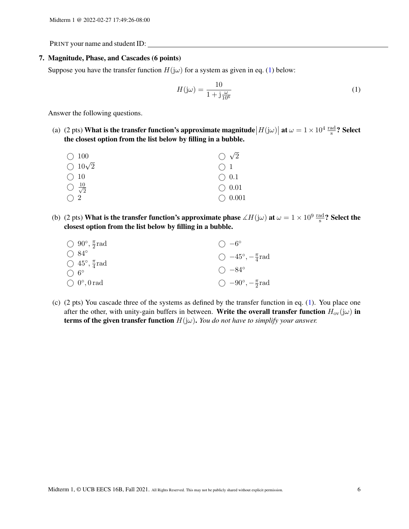#### 7. Magnitude, Phase, and Cascades (6 points)

Suppose you have the transfer function  $H(j\omega)$  for a system as given in eq. [\(1\)](#page-5-0) below:

<span id="page-5-0"></span>
$$
H(j\omega) = \frac{10}{1 + j\frac{\omega}{10^6}}\tag{1}
$$

Answer the following questions.

(a) (2 pts) What is the transfer function's approximate magnitude  $|H(j\omega)|$  at  $\omega = 1 \times 10^4 \frac{\text{rad}}{\text{s}}$ ? Select the closest option from the list below by filling in a bubble.

| $\bigcirc$ 100                 | $\bigcirc \sqrt{2}$ |
|--------------------------------|---------------------|
| $\bigcirc$ 10 $\sqrt{2}$       | $\bigcap$ 1         |
| $\bigcirc$ 10                  | $\bigcirc$ 0.1      |
| $\bigcirc \frac{10}{\sqrt{2}}$ | $\bigcirc$ 0.01     |
| $\bigcap 2$                    | $\bigcirc$ 0.001    |

(b) (2 pts) What is the transfer function's approximate phase  $\measuredangle H(j\omega)$  at  $\omega = 1 \times 10^9$   $\frac{\text{rad}}{\text{s}}$ ? Select the closest option from the list below by filling in a bubble.

| $\bigcirc$ 90°, $\frac{\pi}{2}$ rad | $() -6^{\circ}$                       |
|-------------------------------------|---------------------------------------|
| $\bigcirc$ 84°                      | $\bigcirc$ -45°, $-\frac{\pi}{4}$ rad |
| $\bigcirc$ 45°, $\frac{\pi}{4}$ rad |                                       |
| $\bigcirc$ 6°                       | $\bigcirc$ $-84^{\circ}$              |
| $\bigcirc$ 0°, 0 rad                | $\bigcirc$ -90°, $-\frac{\pi}{2}$ rad |

(c) (2 pts) You cascade three of the systems as defined by the transfer function in eq. [\(1\)](#page-5-0). You place one after the other, with unity-gain buffers in between. Write the overall transfer function  $H_{ov}(j\omega)$  in **terms of the given transfer function**  $H(j\omega)$ . *You do not have to simplify your answer.*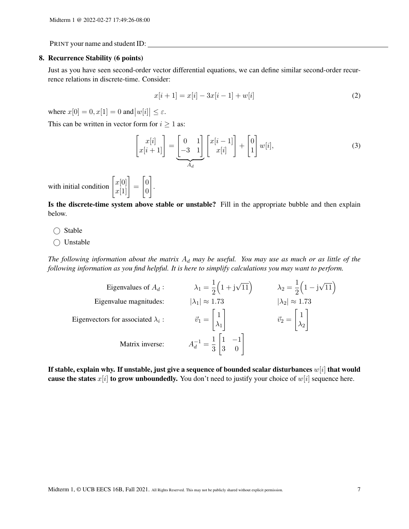#### 8. Recurrence Stability (6 points)

Just as you have seen second-order vector differential equations, we can define similar second-order recurrence relations in discrete-time. Consider:

$$
x[i+1] = x[i] - 3x[i-1] + w[i] \tag{2}
$$

where  $x[0] = 0, x[1] = 0$  and  $|w[i]| \le \varepsilon$ .

This can be written in vector form for  $i \geq 1$  as:

1 .

$$
\begin{bmatrix} x[i] \\ x[i+1] \end{bmatrix} = \underbrace{\begin{bmatrix} 0 & 1 \\ -3 & 1 \end{bmatrix}}_{A_d} \begin{bmatrix} x[i-1] \\ x[i] \end{bmatrix} + \begin{bmatrix} 0 \\ 1 \end{bmatrix} w[i],
$$
\n(3)

with initial condition  $\begin{bmatrix} x[0] \\ x[1] \end{bmatrix} =$  $\lceil 0$ 0

Is the discrete-time system above stable or unstable? Fill in the appropriate bubble and then explain below.

 $\bigcirc$  Stable

◯ Unstable

The following information about the matrix  $A_d$  may be useful. You may use as much or as little of the *following information as you find helpful. It is here to simplify calculations you may want to perform.*

| Eigenvalues of $A_d$ :                    | $\lambda_1 = \frac{1}{2} (1 + i \sqrt{11})$                            | $\lambda_2 = \frac{1}{2} (1 - i \sqrt{11})$                |
|-------------------------------------------|------------------------------------------------------------------------|------------------------------------------------------------|
| Eigenvalue magnitudes:                    | $ \lambda_1  \approx 1.73$                                             | $ \lambda_2  \approx 1.73$                                 |
| Eigenvectors for associated $\lambda_i$ : | $\vec{v}_1 = \begin{bmatrix} 1 \\ \lambda_1 \end{bmatrix}$             | $\vec{v}_2 = \begin{bmatrix} 1 \\ \lambda_2 \end{bmatrix}$ |
| Matrix inverse:                           | $A_d^{-1} = \frac{1}{3} \begin{vmatrix} 1 & -1 \\ 3 & 0 \end{vmatrix}$ |                                                            |

If stable, explain why. If unstable, just give a sequence of bounded scalar disturbances  $w[i]$  that would cause the states  $x[i]$  to grow unboundedly. You don't need to justify your choice of  $w[i]$  sequence here.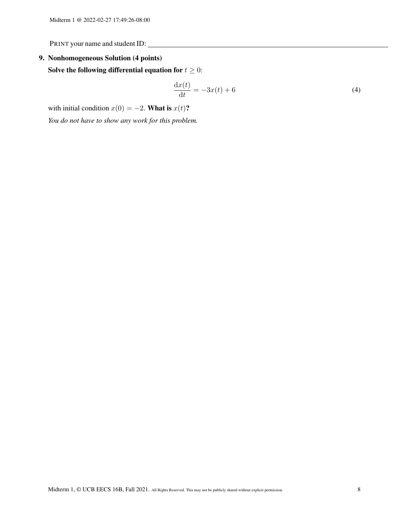# 9. Nonhomogeneous Solution (4 points)

Solve the following differential equation for  $t \geq 0$ :

$$
\frac{\mathrm{d}x(t)}{\mathrm{d}t} = -3x(t) + 6\tag{4}
$$

with initial condition  $x(0) = -2$ . What is  $x(t)$ ?

*You do not have to show any work for this problem.*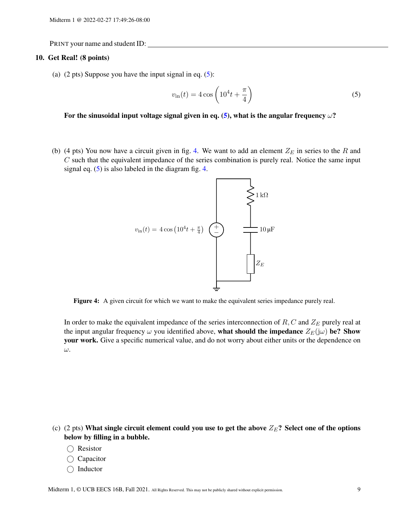#### 10. Get Real! (8 points)

(a)  $(2 \text{ pts})$  Suppose you have the input signal in eq.  $(5)$ :

<span id="page-8-0"></span>
$$
v_{\rm in}(t) = 4\cos\left(10^4t + \frac{\pi}{4}\right) \tag{5}
$$

For the sinusoidal input voltage signal given in eq. [\(5\)](#page-8-0), what is the angular frequency  $\omega$ ?

<span id="page-8-1"></span>(b) (4 pts) You now have a circuit given in fig. [4.](#page-8-1) We want to add an element  $Z_F$  in series to the R and  $C$  such that the equivalent impedance of the series combination is purely real. Notice the same input signal eq.  $(5)$  is also labeled in the diagram fig. [4.](#page-8-1)



Figure 4: A given circuit for which we want to make the equivalent series impedance purely real.

In order to make the equivalent impedance of the series interconnection of  $R, C$  and  $Z_E$  purely real at the input angular frequency  $\omega$  you identified above, what should the impedance  $Z_F(j\omega)$  be? Show your work. Give a specific numerical value, and do not worry about either units or the dependence on ω.

- (c) (2 pts) What single circuit element could you use to get the above  $Z_E$ ? Select one of the options below by filling in a bubble.
	- ◯ Resistor
	- ◯ Capacitor
	- $\bigcap$  Inductor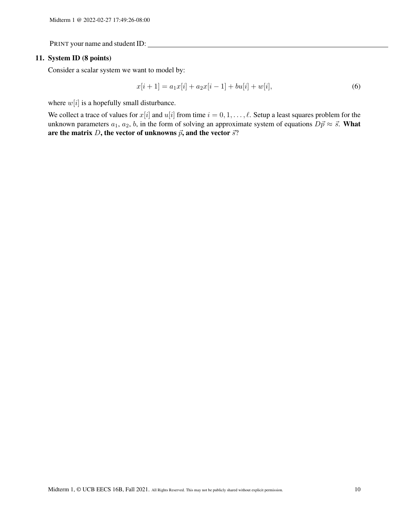#### 11. System ID (8 points)

Consider a scalar system we want to model by:

$$
x[i+1] = a_1x[i] + a_2x[i-1] + bu[i] + w[i],
$$
\n(6)

where  $w[i]$  is a hopefully small disturbance.

We collect a trace of values for  $x[i]$  and  $u[i]$  from time  $i = 0, 1, \dots, \ell$ . Setup a least squares problem for the unknown parameters  $a_1, a_2, b$ , in the form of solving an approximate system of equations  $D\vec{p} \approx \vec{s}$ . What are the matrix D, the vector of unknowns  $\vec{p}$ , and the vector  $\vec{s}$ ?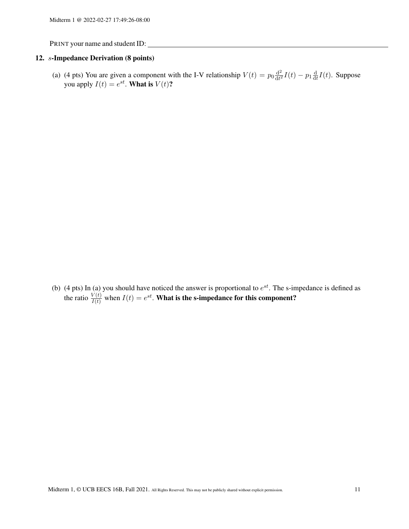#### 12. s-Impedance Derivation (8 points)

(a) (4 pts) You are given a component with the I-V relationship  $V(t) = p_0 \frac{d^2}{dt^2}$  $\frac{\mathrm{d}^2}{\mathrm{d}t^2}I(t) - p_1\frac{\mathrm{d}}{\mathrm{d}t}$  $\frac{d}{dt}I(t)$ . Suppose you apply  $I(t) = e^{st}$ . What is  $V(t)$ ?

(b) (4 pts) In (a) you should have noticed the answer is proportional to  $e^{st}$ . The s-impedance is defined as the ratio  $\frac{V(t)}{I(t)}$  when  $I(t) = e^{st}$ . What is the s-impedance for this component?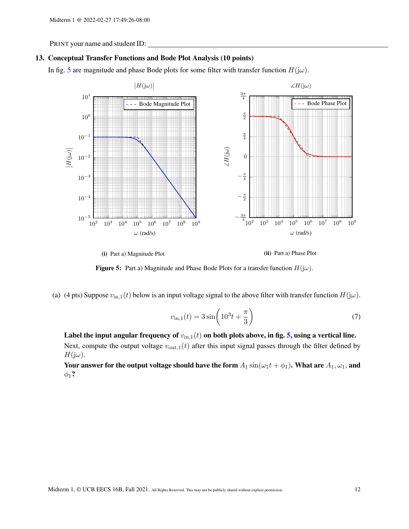#### 13. Conceptual Transfer Functions and Bode Plot Analysis (10 points)

<span id="page-11-0"></span>In fig. [5](#page-11-0) are magnitude and phase Bode plots for some filter with transfer function  $H(j\omega)$ .





(ii) Part a) Phase Plot



(a) (4 pts) Suppose  $v_{\text{in},1}(t)$  below is an input voltage signal to the above filter with transfer function  $H(j\omega)$ .

$$
v_{\rm in,1}(t) = 3\sin\left(10^3t + \frac{\pi}{3}\right) \tag{7}
$$

Label the input angular frequency of  $v_{\text{in},1}(t)$  on both plots above, in fig. [5,](#page-11-0) using a vertical line. Next, compute the output voltage  $v_{\text{out},1}(t)$  after this input signal passes through the filter defined by  $H(j\omega)$ .

Your answer for the output voltage should have the form  $A_1 \sin(\omega_1 t + \phi_1)$ . What are  $A_1, \omega_1$ , and  $\phi_1$ ?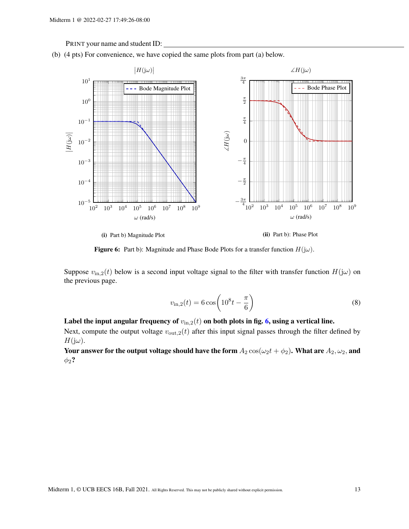<span id="page-12-0"></span>



(i) Part b) Magnitude Plot

(ii) Part b): Phase Plot

Figure 6: Part b): Magnitude and Phase Bode Plots for a transfer function  $H(j\omega)$ .

Suppose  $v_{\text{in},2}(t)$  below is a second input voltage signal to the filter with transfer function  $H(j\omega)$  on the previous page.

$$
v_{\rm in,2}(t) = 6\cos\left(10^8 t - \frac{\pi}{6}\right)
$$
 (8)

## Label the input angular frequency of  $v_{\text{in},2}(t)$  on both plots in fig. [6,](#page-12-0) using a vertical line.

Next, compute the output voltage  $v_{\text{out},2}(t)$  after this input signal passes through the filter defined by  $H(j\omega)$ .

Your answer for the output voltage should have the form  $A_2 \cos(\omega_2 t + \phi_2)$ . What are  $A_2, \omega_2$ , and  $\phi_2$ ?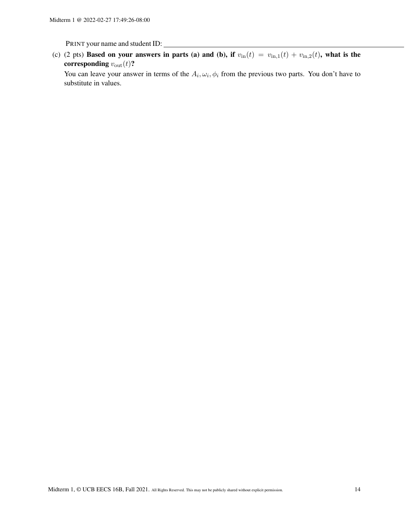(c) (2 pts) Based on your answers in parts (a) and (b), if  $v_{\text{in}}(t) = v_{\text{in},1}(t) + v_{\text{in},2}(t)$ , what is the corresponding  $v_{\text{out}}(t)$ ?

You can leave your answer in terms of the  $A_i, \omega_i, \phi_i$  from the previous two parts. You don't have to substitute in values.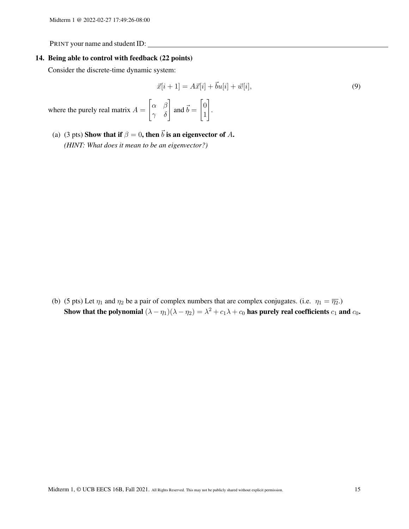#### 14. Being able to control with feedback (22 points)

Consider the discrete-time dynamic system:

$$
\vec{x}[i+1] = A\vec{x}[i] + \vec{b}u[i] + \vec{w}[i],\tag{9}
$$

where the purely real matrix  $A =$  $\begin{bmatrix} \alpha & \beta \\ \gamma & \delta \end{bmatrix}$  and  $\vec{b} = \begin{bmatrix} 0 \\ 1 \end{bmatrix}$ 1 1 .

(a) (3 pts) Show that if  $\beta = 0$ , then  $\vec{b}$  is an eigenvector of A. *(HINT: What does it mean to be an eigenvector?)*

(b) (5 pts) Let  $\eta_1$  and  $\eta_2$  be a pair of complex numbers that are complex conjugates. (i.e.  $\eta_1 = \overline{\eta_2}$ .) Show that the polynomial  $(\lambda - \eta_1)(\lambda - \eta_2) = \lambda^2 + c_1\lambda + c_0$  has purely real coefficients  $c_1$  and  $c_0$ .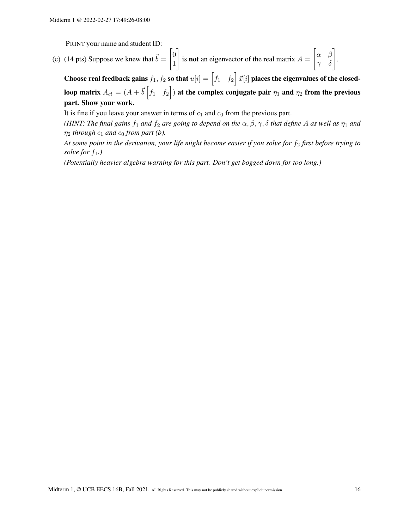(c) (14 pts) Suppose we knew that  $\vec{b} = \begin{bmatrix} 0 \\ 1 \end{bmatrix}$ 1 1 is **not** an eigenvector of the real matrix  $A =$  $\begin{bmatrix} \alpha & \beta \\ \gamma & \delta \end{bmatrix}$ .

Choose real feedback gains  $f_1,\,f_2$  so that  $u[i]=\begin{bmatrix} f_1 & f_2 \end{bmatrix}\vec{x}[i]$  places the eigenvalues of the closedloop matrix  $A_{cl}=(A+\vec{b}\begin{bmatrix}f_1& f_2\end{bmatrix})$  at the complex conjugate pair  $\eta_1$  and  $\eta_2$  from the previous part. Show your work.

It is fine if you leave your answer in terms of  $c_1$  and  $c_0$  from the previous part.

*(HINT: The final gains f<sub>1</sub> and f<sub>2</sub> are going to depend on the*  $\alpha, \beta, \gamma, \delta$  *that define* A *as well as*  $\eta_1$  *and*  $\eta_2$  *through*  $c_1$  *and*  $c_0$  *from part (b).* 

At some point in the derivation, your life might become easier if you solve for  $f_2$  first before trying to *solve for*  $f_1$ *.*)

*(Potentially heavier algebra warning for this part. Don't get bogged down for too long.)*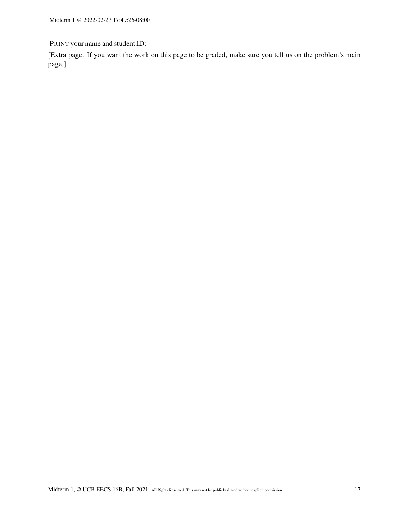[Extra page. If you want the work on this page to be graded, make sure you tell us on the problem's main page.]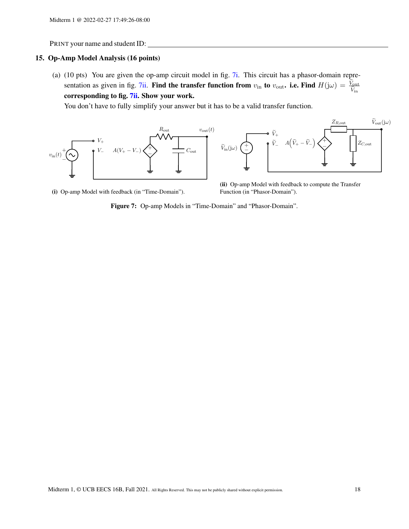### 15. Op-Amp Model Analysis (16 points)

(a) (10 pts) You are given the op-amp circuit model in fig. [7i.](#page-17-0) This circuit has a phasor-domain repre-sentation as given in fig. [7ii.](#page-17-0) Find the transfer function from  $v_{\text{in}}$  to  $v_{\text{out}}$ . i.e. Find  $H(j\omega) = \frac{V_{\text{out}}}{\tilde{V}_{\text{in}}}$ corresponding to fig. [7ii.](#page-17-0) Show your work.

You don't have to fully simplify your answer but it has to be a valid transfer function.

<span id="page-17-0"></span>

(i) Op-amp Model with feedback (in "Time-Domain").

(ii) Op-amp Model with feedback to compute the Transfer Function (in "Phasor-Domain").

Figure 7: Op-amp Models in "Time-Domain" and "Phasor-Domain".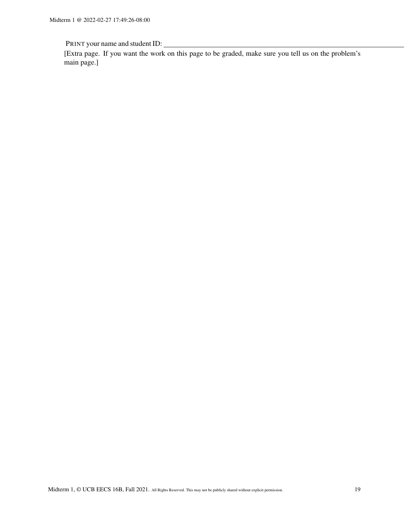[Extra page. If you want the work on this page to be graded, make sure you tell us on the problem's main page.]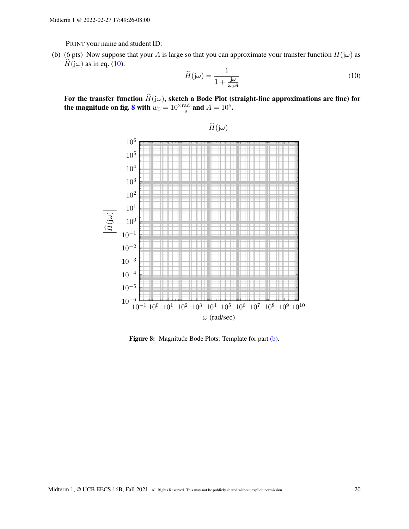<span id="page-19-2"></span>(b) (6 pts) Now suppose that your A is large so that you can approximate your transfer function  $H(j\omega)$  as  $H(j\omega)$  as in eq. [\(10\)](#page-19-0).

<span id="page-19-0"></span>
$$
\widehat{H}(\mathbf{j}\omega) = \frac{1}{1 + \frac{\mathbf{j}\omega}{\omega_0 A}}\tag{10}
$$

<span id="page-19-1"></span>For the transfer function  $\widehat{H}(j\omega)$ , sketch a Bode Plot (straight-line approximations are fine) for the magnitude on fig. [8](#page-19-1) with  $w_0 = 10^2 \frac{\text{rad}}{\text{s}}$  and  $A = 10^5$ .



Figure 8: Magnitude Bode Plots: Template for part [\(b\).](#page-19-2)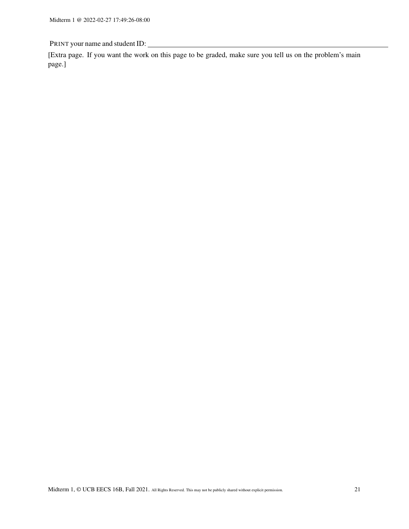[Extra page. If you want the work on this page to be graded, make sure you tell us on the problem's main page.]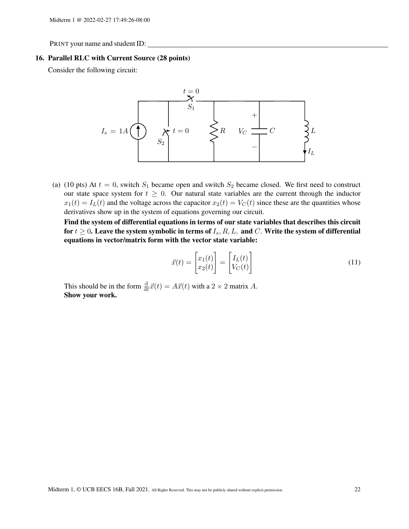#### 16. Parallel RLC with Current Source (28 points)

Consider the following circuit:



(a) (10 pts) At  $t = 0$ , switch  $S_1$  became open and switch  $S_2$  became closed. We first need to construct our state space system for  $t \geq 0$ . Our natural state variables are the current through the inductor  $x_1(t) = I_L(t)$  and the voltage across the capacitor  $x_2(t) = V_C(t)$  since these are the quantities whose derivatives show up in the system of equations governing our circuit.

Find the system of differential equations in terms of our state variables that describes this circuit for  $t \geq 0$ . Leave the system symbolic in terms of  $I_s$ ,  $R, L$ , and  $C$ . Write the system of differential equations in vector/matrix form with the vector state variable:

$$
\vec{x}(t) = \begin{bmatrix} x_1(t) \\ x_2(t) \end{bmatrix} = \begin{bmatrix} I_L(t) \\ V_C(t) \end{bmatrix}
$$
\n(11)

This should be in the form  $\frac{d}{dt}\vec{x}(t) = A\vec{x}(t)$  with a  $2 \times 2$  matrix A. Show your work.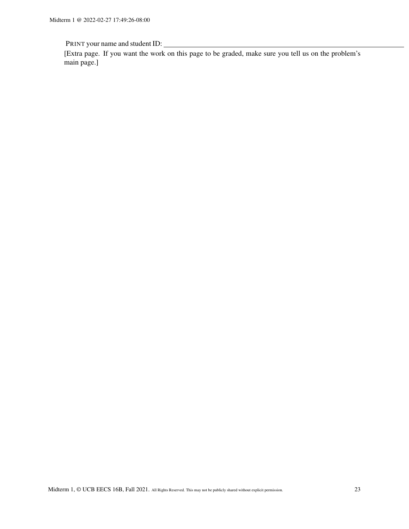[Extra page. If you want the work on this page to be graded, make sure you tell us on the problem's main page.]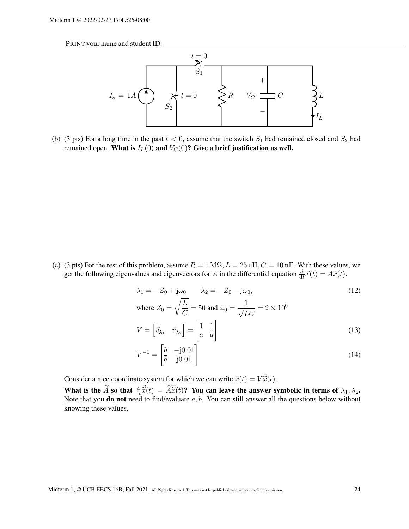

(b) (3 pts) For a long time in the past  $t < 0$ , assume that the switch  $S_1$  had remained closed and  $S_2$  had remained open. What is  $I_L(0)$  and  $V_C(0)$ ? Give a brief justification as well.

(c) (3 pts) For the rest of this problem, assume  $R = 1 \text{ M}\Omega$ ,  $L = 25 \mu\text{H}$ ,  $C = 10 \text{ nF}$ . With these values, we get the following eigenvalues and eigenvectors for A in the differential equation  $\frac{d}{dt}\vec{x}(t) = A\vec{x}(t)$ .

$$
\lambda_1 = -Z_0 + j\omega_0 \qquad \lambda_2 = -Z_0 - j\omega_0,
$$
\n
$$
\text{where } Z_0 = \sqrt{\frac{L}{C}} = 50 \text{ and } \omega_0 = \frac{1}{\sqrt{LC}} = 2 \times 10^6
$$
\n
$$
V = \begin{bmatrix} \vec{v}_{\lambda_1} & \vec{v}_{\lambda_2} \end{bmatrix} = \begin{bmatrix} 1 & 1 \\ a & \overline{a} \end{bmatrix}
$$
\n(13)

$$
V^{-1} = \begin{bmatrix} b & -j0.01 \\ \bar{b} & j0.01 \end{bmatrix}
$$
 (14)

Consider a nice coordinate system for which we can write  $\vec{x}(t) = V\vec{\tilde{x}}(t)$ . What is the  $\tilde{A}$  so that  $\frac{d}{dt}\vec{\tilde{x}}(t) = \tilde{A}\vec{\tilde{x}}(t)$ ? You can leave the answer symbolic in terms of  $\lambda_1, \lambda_2$ .<br>Note that you do not need to find/evaluate a, b. You can still answer all the questions below wit knowing these values.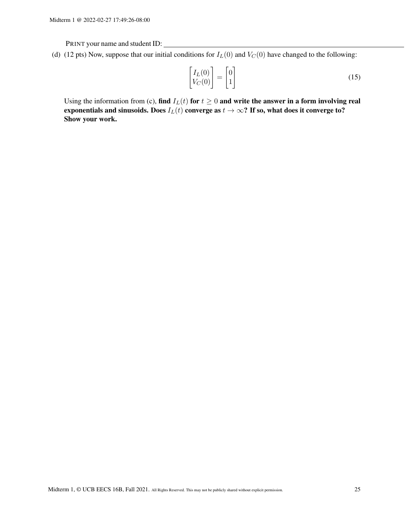(d) (12 pts) Now, suppose that our initial conditions for  $I_L(0)$  and  $V_C(0)$  have changed to the following:

$$
\begin{bmatrix} I_L(0) \\ V_C(0) \end{bmatrix} = \begin{bmatrix} 0 \\ 1 \end{bmatrix}
$$
\n(15)

Using the information from (c), find  $I_L(t)$  for  $t \geq 0$  and write the answer in a form involving real exponentials and sinusoids. Does  $I_L(t)$  converge as  $t \to \infty$ ? If so, what does it converge to? Show your work.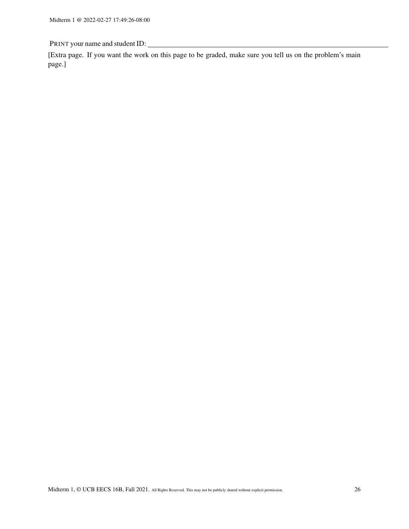[Extra page. If you want the work on this page to be graded, make sure you tell us on the problem's main page.]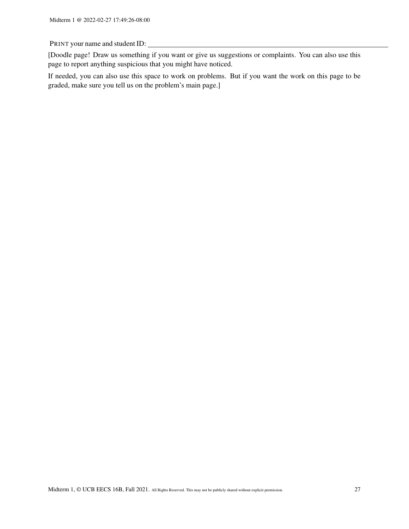[Doodle page! Draw us something if you want or give us suggestions or complaints. You can also use this page to report anything suspicious that you might have noticed.

If needed, you can also use this space to work on problems. But if you want the work on this page to be graded, make sure you tell us on the problem's main page.]